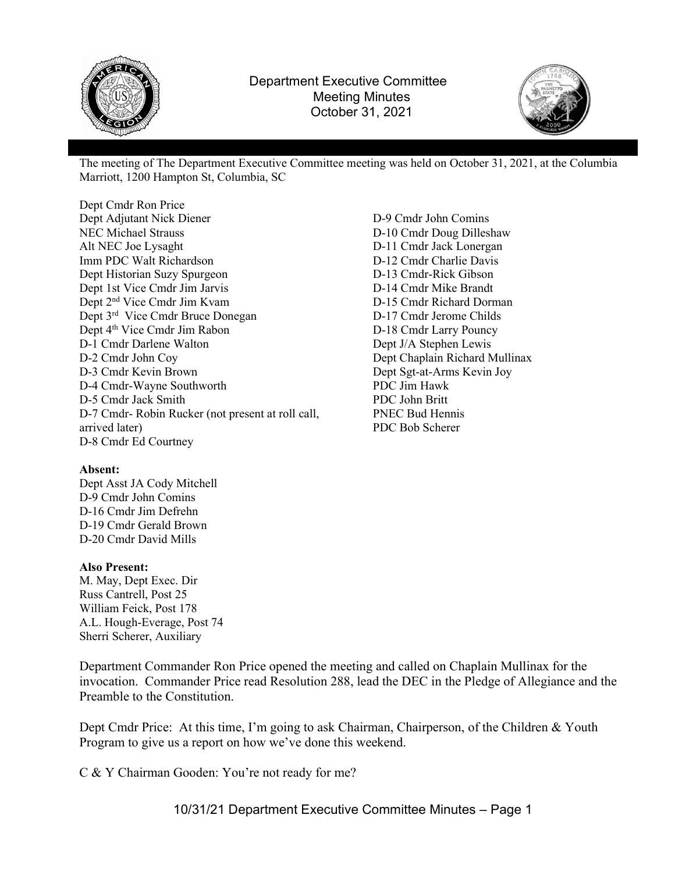



The meeting of The Department Executive Committee meeting was held on October 31, 2021, at the Columbia Marriott, 1200 Hampton St, Columbia, SC

Dept Cmdr Ron Price Dept Adjutant Nick Diener NEC Michael Strauss Alt NEC Joe Lysaght Imm PDC Walt Richardson Dept Historian Suzy Spurgeon Dept 1st Vice Cmdr Jim Jarvis Dept 2nd Vice Cmdr Jim Kvam Dept 3<sup>rd</sup> Vice Cmdr Bruce Donegan Dept 4<sup>th</sup> Vice Cmdr Jim Rabon D-1 Cmdr Darlene Walton D-2 Cmdr John Coy D-3 Cmdr Kevin Brown D-4 Cmdr-Wayne Southworth D-5 Cmdr Jack Smith D-7 Cmdr- Robin Rucker (not present at roll call, arrived later) D-8 Cmdr Ed Courtney

#### Absent:

Dept Asst JA Cody Mitchell D-9 Cmdr John Comins D-16 Cmdr Jim Defrehn D-19 Cmdr Gerald Brown D-20 Cmdr David Mills

#### Also Present:

M. May, Dept Exec. Dir Russ Cantrell, Post 25 William Feick, Post 178 A.L. Hough-Everage, Post 74 Sherri Scherer, Auxiliary

Department Commander Ron Price opened the meeting and called on Chaplain Mullinax for the invocation. Commander Price read Resolution 288, lead the DEC in the Pledge of Allegiance and the Preamble to the Constitution.

Dept Cmdr Price: At this time, I'm going to ask Chairman, Chairperson, of the Children & Youth Program to give us a report on how we've done this weekend.

C & Y Chairman Gooden: You're not ready for me?

10/31/21 Department Executive Committee Minutes – Page 1

D-9 Cmdr John Comins D-10 Cmdr Doug Dilleshaw D-11 Cmdr Jack Lonergan D-12 Cmdr Charlie Davis D-13 Cmdr-Rick Gibson D-14 Cmdr Mike Brandt D-15 Cmdr Richard Dorman D-17 Cmdr Jerome Childs D-18 Cmdr Larry Pouncy Dept J/A Stephen Lewis Dept Chaplain Richard Mullinax Dept Sgt-at-Arms Kevin Joy PDC Jim Hawk PDC John Britt PNEC Bud Hennis PDC Bob Scherer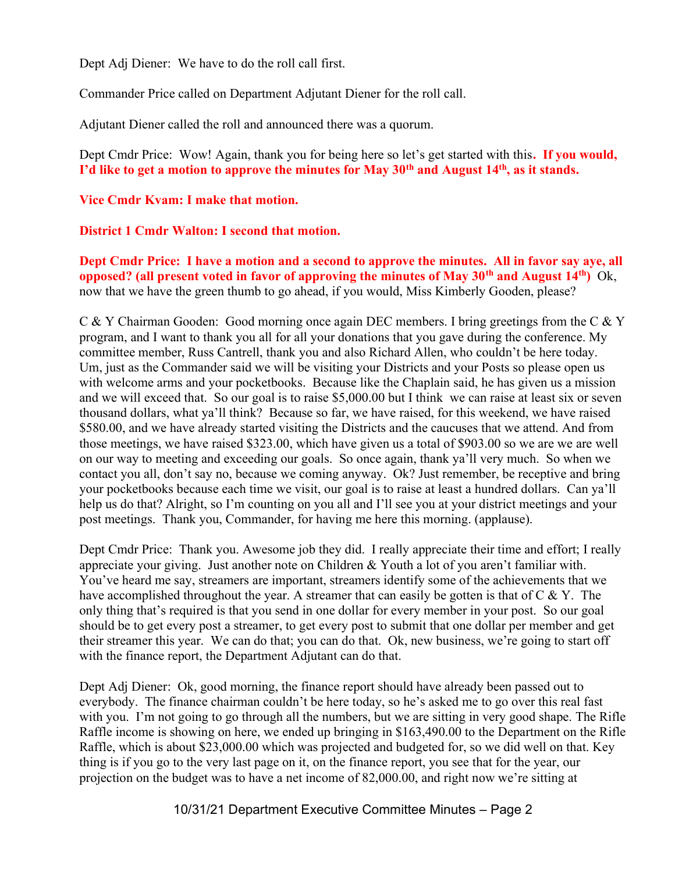Dept Adj Diener: We have to do the roll call first.

Commander Price called on Department Adjutant Diener for the roll call.

Adjutant Diener called the roll and announced there was a quorum.

Dept Cmdr Price: Wow! Again, thank you for being here so let's get started with this. If you would, I'd like to get a motion to approve the minutes for May  $30<sup>th</sup>$  and August  $14<sup>th</sup>$ , as it stands.

# Vice Cmdr Kvam: I make that motion.

# District 1 Cmdr Walton: I second that motion.

Dept Cmdr Price: I have a motion and a second to approve the minutes. All in favor say aye, all opposed? (all present voted in favor of approving the minutes of May 30<sup>th</sup> and August 14<sup>th</sup>) Ok, now that we have the green thumb to go ahead, if you would, Miss Kimberly Gooden, please?

C & Y Chairman Gooden: Good morning once again DEC members. I bring greetings from the C & Y program, and I want to thank you all for all your donations that you gave during the conference. My committee member, Russ Cantrell, thank you and also Richard Allen, who couldn't be here today. Um, just as the Commander said we will be visiting your Districts and your Posts so please open us with welcome arms and your pocketbooks. Because like the Chaplain said, he has given us a mission and we will exceed that. So our goal is to raise \$5,000.00 but I think we can raise at least six or seven thousand dollars, what ya'll think? Because so far, we have raised, for this weekend, we have raised \$580.00, and we have already started visiting the Districts and the caucuses that we attend. And from those meetings, we have raised \$323.00, which have given us a total of \$903.00 so we are we are well on our way to meeting and exceeding our goals. So once again, thank ya'll very much. So when we contact you all, don't say no, because we coming anyway. Ok? Just remember, be receptive and bring your pocketbooks because each time we visit, our goal is to raise at least a hundred dollars. Can ya'll help us do that? Alright, so I'm counting on you all and I'll see you at your district meetings and your post meetings. Thank you, Commander, for having me here this morning. (applause).

Dept Cmdr Price: Thank you. Awesome job they did. I really appreciate their time and effort; I really appreciate your giving. Just another note on Children & Youth a lot of you aren't familiar with. You've heard me say, streamers are important, streamers identify some of the achievements that we have accomplished throughout the year. A streamer that can easily be gotten is that of  $C \& Y$ . The only thing that's required is that you send in one dollar for every member in your post. So our goal should be to get every post a streamer, to get every post to submit that one dollar per member and get their streamer this year. We can do that; you can do that. Ok, new business, we're going to start off with the finance report, the Department Adjutant can do that.

Dept Adj Diener: Ok, good morning, the finance report should have already been passed out to everybody. The finance chairman couldn't be here today, so he's asked me to go over this real fast with you. I'm not going to go through all the numbers, but we are sitting in very good shape. The Rifle Raffle income is showing on here, we ended up bringing in \$163,490.00 to the Department on the Rifle Raffle, which is about \$23,000.00 which was projected and budgeted for, so we did well on that. Key thing is if you go to the very last page on it, on the finance report, you see that for the year, our projection on the budget was to have a net income of 82,000.00, and right now we're sitting at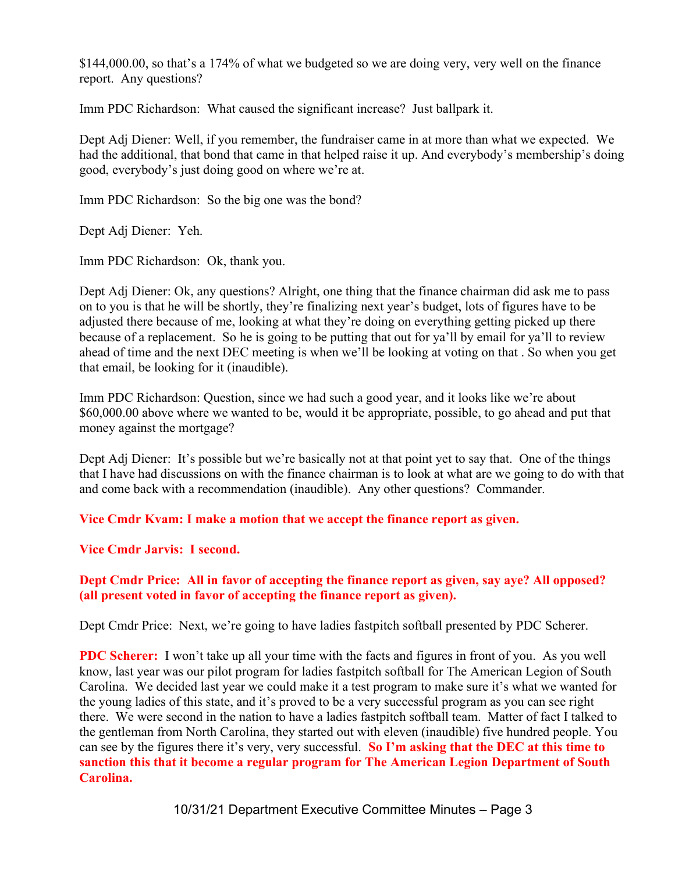\$144,000.00, so that's a 174% of what we budgeted so we are doing very, very well on the finance report. Any questions?

Imm PDC Richardson: What caused the significant increase? Just ballpark it.

Dept Adj Diener: Well, if you remember, the fundraiser came in at more than what we expected. We had the additional, that bond that came in that helped raise it up. And everybody's membership's doing good, everybody's just doing good on where we're at.

Imm PDC Richardson: So the big one was the bond?

Dept Adj Diener: Yeh.

Imm PDC Richardson: Ok, thank you.

Dept Adj Diener: Ok, any questions? Alright, one thing that the finance chairman did ask me to pass on to you is that he will be shortly, they're finalizing next year's budget, lots of figures have to be adjusted there because of me, looking at what they're doing on everything getting picked up there because of a replacement. So he is going to be putting that out for ya'll by email for ya'll to review ahead of time and the next DEC meeting is when we'll be looking at voting on that . So when you get that email, be looking for it (inaudible).

Imm PDC Richardson: Question, since we had such a good year, and it looks like we're about \$60,000.00 above where we wanted to be, would it be appropriate, possible, to go ahead and put that money against the mortgage?

Dept Adj Diener: It's possible but we're basically not at that point yet to say that. One of the things that I have had discussions on with the finance chairman is to look at what are we going to do with that and come back with a recommendation (inaudible). Any other questions? Commander.

Vice Cmdr Kvam: I make a motion that we accept the finance report as given.

Vice Cmdr Jarvis: I second.

# Dept Cmdr Price: All in favor of accepting the finance report as given, say aye? All opposed? (all present voted in favor of accepting the finance report as given).

Dept Cmdr Price: Next, we're going to have ladies fastpitch softball presented by PDC Scherer.

PDC Scherer: I won't take up all your time with the facts and figures in front of you. As you well know, last year was our pilot program for ladies fastpitch softball for The American Legion of South Carolina. We decided last year we could make it a test program to make sure it's what we wanted for the young ladies of this state, and it's proved to be a very successful program as you can see right there. We were second in the nation to have a ladies fastpitch softball team. Matter of fact I talked to the gentleman from North Carolina, they started out with eleven (inaudible) five hundred people. You can see by the figures there it's very, very successful. So I'm asking that the DEC at this time to sanction this that it become a regular program for The American Legion Department of South Carolina.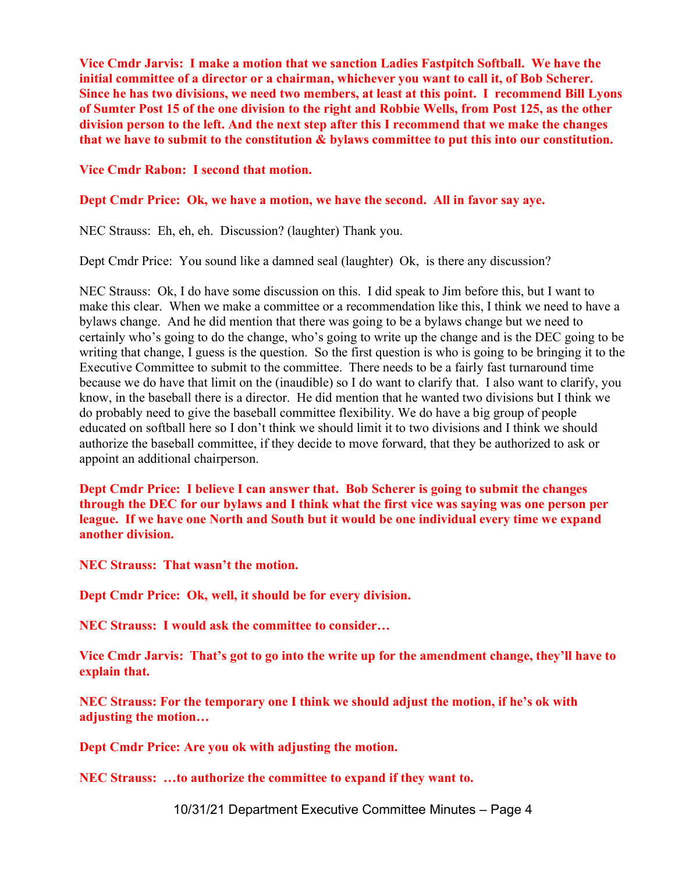Vice Cmdr Jarvis: I make a motion that we sanction Ladies Fastpitch Softball. We have the initial committee of a director or a chairman, whichever you want to call it, of Bob Scherer. Since he has two divisions, we need two members, at least at this point. I recommend Bill Lyons of Sumter Post 15 of the one division to the right and Robbie Wells, from Post 125, as the other division person to the left. And the next step after this I recommend that we make the changes that we have to submit to the constitution & bylaws committee to put this into our constitution.

Vice Cmdr Rabon: I second that motion.

#### Dept Cmdr Price: Ok, we have a motion, we have the second. All in favor say aye.

NEC Strauss: Eh, eh, eh. Discussion? (laughter) Thank you.

Dept Cmdr Price: You sound like a damned seal (laughter) Ok, is there any discussion?

NEC Strauss: Ok, I do have some discussion on this. I did speak to Jim before this, but I want to make this clear. When we make a committee or a recommendation like this, I think we need to have a bylaws change. And he did mention that there was going to be a bylaws change but we need to certainly who's going to do the change, who's going to write up the change and is the DEC going to be writing that change, I guess is the question. So the first question is who is going to be bringing it to the Executive Committee to submit to the committee. There needs to be a fairly fast turnaround time because we do have that limit on the (inaudible) so I do want to clarify that. I also want to clarify, you know, in the baseball there is a director. He did mention that he wanted two divisions but I think we do probably need to give the baseball committee flexibility. We do have a big group of people educated on softball here so I don't think we should limit it to two divisions and I think we should authorize the baseball committee, if they decide to move forward, that they be authorized to ask or appoint an additional chairperson.

Dept Cmdr Price: I believe I can answer that. Bob Scherer is going to submit the changes through the DEC for our bylaws and I think what the first vice was saying was one person per league. If we have one North and South but it would be one individual every time we expand another division.

NEC Strauss: That wasn't the motion.

Dept Cmdr Price: Ok, well, it should be for every division.

NEC Strauss: I would ask the committee to consider…

Vice Cmdr Jarvis: That's got to go into the write up for the amendment change, they'll have to explain that.

NEC Strauss: For the temporary one I think we should adjust the motion, if he's ok with adjusting the motion…

Dept Cmdr Price: Are you ok with adjusting the motion.

NEC Strauss: …to authorize the committee to expand if they want to.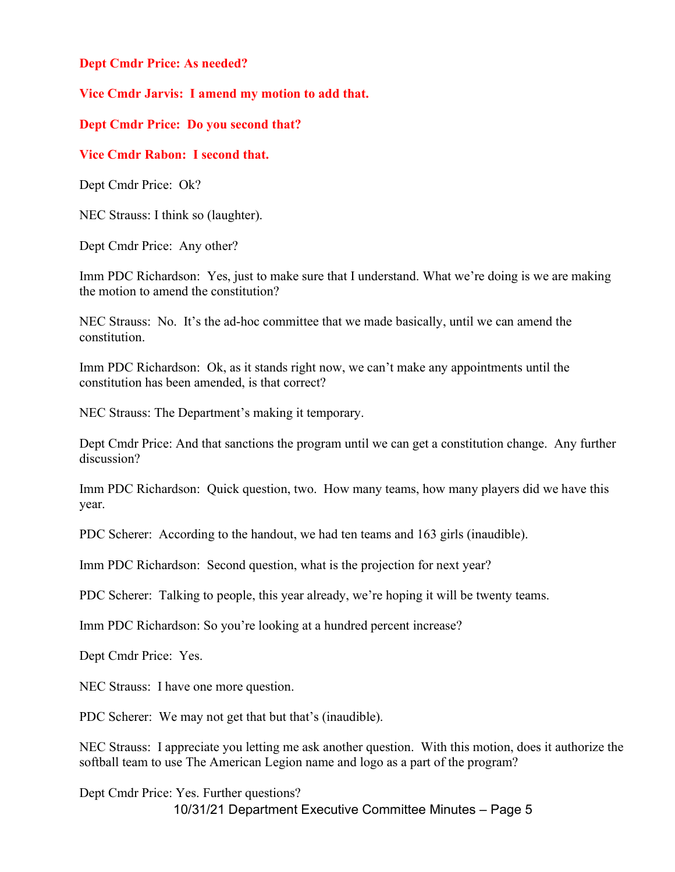# Dept Cmdr Price: As needed?

# Vice Cmdr Jarvis: I amend my motion to add that.

# Dept Cmdr Price: Do you second that?

# Vice Cmdr Rabon: I second that.

Dept Cmdr Price: Ok?

NEC Strauss: I think so (laughter).

Dept Cmdr Price: Any other?

Imm PDC Richardson: Yes, just to make sure that I understand. What we're doing is we are making the motion to amend the constitution?

NEC Strauss: No. It's the ad-hoc committee that we made basically, until we can amend the constitution.

Imm PDC Richardson: Ok, as it stands right now, we can't make any appointments until the constitution has been amended, is that correct?

NEC Strauss: The Department's making it temporary.

Dept Cmdr Price: And that sanctions the program until we can get a constitution change. Any further discussion?

Imm PDC Richardson: Quick question, two. How many teams, how many players did we have this year.

PDC Scherer: According to the handout, we had ten teams and 163 girls (inaudible).

Imm PDC Richardson: Second question, what is the projection for next year?

PDC Scherer: Talking to people, this year already, we're hoping it will be twenty teams.

Imm PDC Richardson: So you're looking at a hundred percent increase?

Dept Cmdr Price: Yes.

NEC Strauss: I have one more question.

PDC Scherer: We may not get that but that's (inaudible).

NEC Strauss: I appreciate you letting me ask another question. With this motion, does it authorize the softball team to use The American Legion name and logo as a part of the program?

10/31/21 Department Executive Committee Minutes – Page 5 Dept Cmdr Price: Yes. Further questions?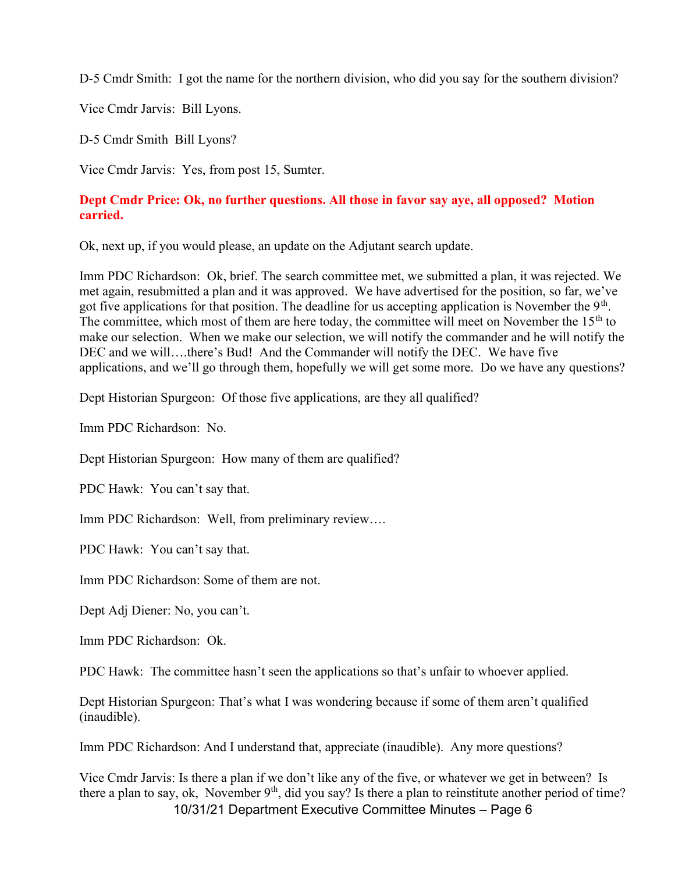D-5 Cmdr Smith: I got the name for the northern division, who did you say for the southern division?

Vice Cmdr Jarvis: Bill Lyons.

D-5 Cmdr Smith Bill Lyons?

Vice Cmdr Jarvis: Yes, from post 15, Sumter.

## Dept Cmdr Price: Ok, no further questions. All those in favor say aye, all opposed? Motion carried.

Ok, next up, if you would please, an update on the Adjutant search update.

Imm PDC Richardson: Ok, brief. The search committee met, we submitted a plan, it was rejected. We met again, resubmitted a plan and it was approved. We have advertised for the position, so far, we've got five applications for that position. The deadline for us accepting application is November the  $9<sup>th</sup>$ . The committee, which most of them are here today, the committee will meet on November the  $15<sup>th</sup>$  to make our selection. When we make our selection, we will notify the commander and he will notify the DEC and we will….there's Bud! And the Commander will notify the DEC. We have five applications, and we'll go through them, hopefully we will get some more. Do we have any questions?

Dept Historian Spurgeon: Of those five applications, are they all qualified?

Imm PDC Richardson: No.

Dept Historian Spurgeon: How many of them are qualified?

PDC Hawk: You can't say that.

Imm PDC Richardson: Well, from preliminary review….

PDC Hawk: You can't say that.

Imm PDC Richardson: Some of them are not.

Dept Adj Diener: No, you can't.

Imm PDC Richardson: Ok.

PDC Hawk: The committee hasn't seen the applications so that's unfair to whoever applied.

Dept Historian Spurgeon: That's what I was wondering because if some of them aren't qualified (inaudible).

Imm PDC Richardson: And I understand that, appreciate (inaudible). Any more questions?

10/31/21 Department Executive Committee Minutes – Page 6 Vice Cmdr Jarvis: Is there a plan if we don't like any of the five, or whatever we get in between? Is there a plan to say, ok, November  $9<sup>th</sup>$ , did you say? Is there a plan to reinstitute another period of time?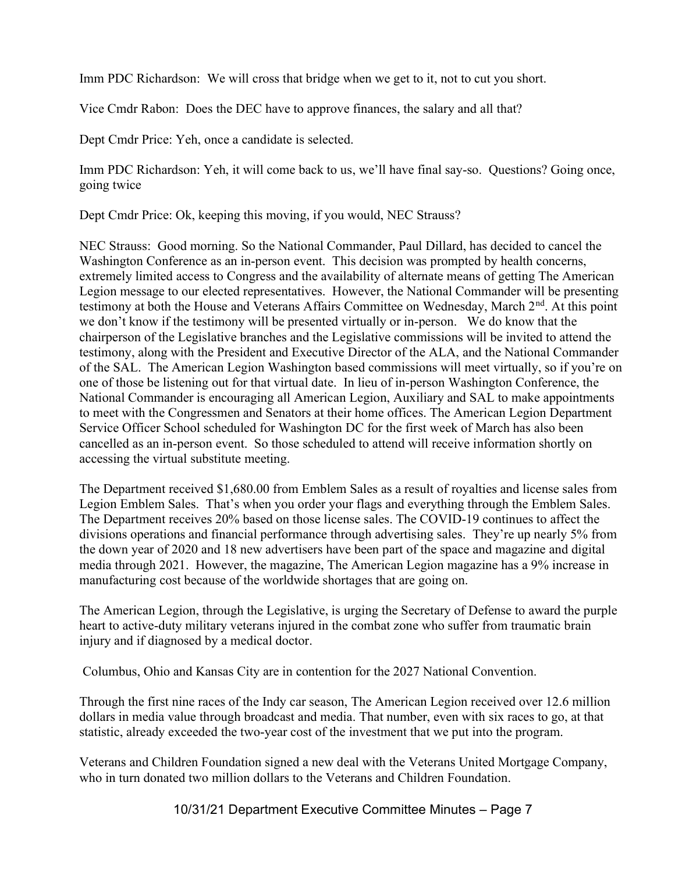Imm PDC Richardson: We will cross that bridge when we get to it, not to cut you short.

Vice Cmdr Rabon: Does the DEC have to approve finances, the salary and all that?

Dept Cmdr Price: Yeh, once a candidate is selected.

Imm PDC Richardson: Yeh, it will come back to us, we'll have final say-so. Questions? Going once, going twice

Dept Cmdr Price: Ok, keeping this moving, if you would, NEC Strauss?

NEC Strauss: Good morning. So the National Commander, Paul Dillard, has decided to cancel the Washington Conference as an in-person event. This decision was prompted by health concerns, extremely limited access to Congress and the availability of alternate means of getting The American Legion message to our elected representatives. However, the National Commander will be presenting testimony at both the House and Veterans Affairs Committee on Wednesday, March 2<sup>nd</sup>. At this point we don't know if the testimony will be presented virtually or in-person. We do know that the chairperson of the Legislative branches and the Legislative commissions will be invited to attend the testimony, along with the President and Executive Director of the ALA, and the National Commander of the SAL. The American Legion Washington based commissions will meet virtually, so if you're on one of those be listening out for that virtual date. In lieu of in-person Washington Conference, the National Commander is encouraging all American Legion, Auxiliary and SAL to make appointments to meet with the Congressmen and Senators at their home offices. The American Legion Department Service Officer School scheduled for Washington DC for the first week of March has also been cancelled as an in-person event. So those scheduled to attend will receive information shortly on accessing the virtual substitute meeting.

The Department received \$1,680.00 from Emblem Sales as a result of royalties and license sales from Legion Emblem Sales. That's when you order your flags and everything through the Emblem Sales. The Department receives 20% based on those license sales. The COVID-19 continues to affect the divisions operations and financial performance through advertising sales. They're up nearly 5% from the down year of 2020 and 18 new advertisers have been part of the space and magazine and digital media through 2021. However, the magazine, The American Legion magazine has a 9% increase in manufacturing cost because of the worldwide shortages that are going on.

The American Legion, through the Legislative, is urging the Secretary of Defense to award the purple heart to active-duty military veterans injured in the combat zone who suffer from traumatic brain injury and if diagnosed by a medical doctor.

Columbus, Ohio and Kansas City are in contention for the 2027 National Convention.

Through the first nine races of the Indy car season, The American Legion received over 12.6 million dollars in media value through broadcast and media. That number, even with six races to go, at that statistic, already exceeded the two-year cost of the investment that we put into the program.

Veterans and Children Foundation signed a new deal with the Veterans United Mortgage Company, who in turn donated two million dollars to the Veterans and Children Foundation.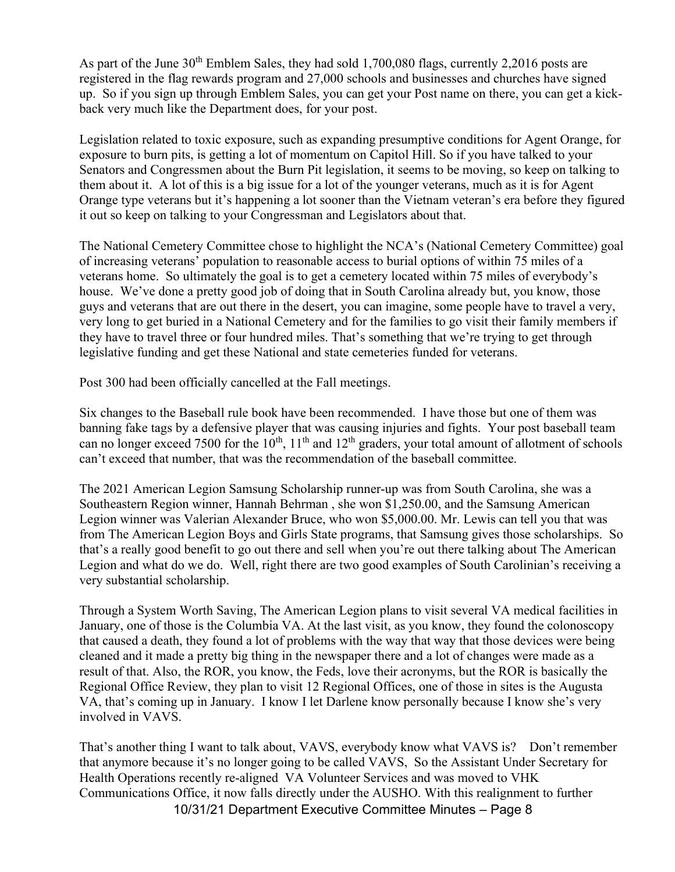As part of the June  $30<sup>th</sup>$  Emblem Sales, they had sold 1,700,080 flags, currently 2,2016 posts are registered in the flag rewards program and 27,000 schools and businesses and churches have signed up. So if you sign up through Emblem Sales, you can get your Post name on there, you can get a kickback very much like the Department does, for your post.

Legislation related to toxic exposure, such as expanding presumptive conditions for Agent Orange, for exposure to burn pits, is getting a lot of momentum on Capitol Hill. So if you have talked to your Senators and Congressmen about the Burn Pit legislation, it seems to be moving, so keep on talking to them about it. A lot of this is a big issue for a lot of the younger veterans, much as it is for Agent Orange type veterans but it's happening a lot sooner than the Vietnam veteran's era before they figured it out so keep on talking to your Congressman and Legislators about that.

The National Cemetery Committee chose to highlight the NCA's (National Cemetery Committee) goal of increasing veterans' population to reasonable access to burial options of within 75 miles of a veterans home. So ultimately the goal is to get a cemetery located within 75 miles of everybody's house. We've done a pretty good job of doing that in South Carolina already but, you know, those guys and veterans that are out there in the desert, you can imagine, some people have to travel a very, very long to get buried in a National Cemetery and for the families to go visit their family members if they have to travel three or four hundred miles. That's something that we're trying to get through legislative funding and get these National and state cemeteries funded for veterans.

Post 300 had been officially cancelled at the Fall meetings.

Six changes to the Baseball rule book have been recommended. I have those but one of them was banning fake tags by a defensive player that was causing injuries and fights. Your post baseball team can no longer exceed 7500 for the  $10^{th}$ ,  $11^{th}$  and  $12^{th}$  graders, your total amount of allotment of schools can't exceed that number, that was the recommendation of the baseball committee.

The 2021 American Legion Samsung Scholarship runner-up was from South Carolina, she was a Southeastern Region winner, Hannah Behrman , she won \$1,250.00, and the Samsung American Legion winner was Valerian Alexander Bruce, who won \$5,000.00. Mr. Lewis can tell you that was from The American Legion Boys and Girls State programs, that Samsung gives those scholarships. So that's a really good benefit to go out there and sell when you're out there talking about The American Legion and what do we do. Well, right there are two good examples of South Carolinian's receiving a very substantial scholarship.

Through a System Worth Saving, The American Legion plans to visit several VA medical facilities in January, one of those is the Columbia VA. At the last visit, as you know, they found the colonoscopy that caused a death, they found a lot of problems with the way that way that those devices were being cleaned and it made a pretty big thing in the newspaper there and a lot of changes were made as a result of that. Also, the ROR, you know, the Feds, love their acronyms, but the ROR is basically the Regional Office Review, they plan to visit 12 Regional Offices, one of those in sites is the Augusta VA, that's coming up in January. I know I let Darlene know personally because I know she's very involved in VAVS.

10/31/21 Department Executive Committee Minutes – Page 8 That's another thing I want to talk about, VAVS, everybody know what VAVS is? Don't remember that anymore because it's no longer going to be called VAVS, So the Assistant Under Secretary for Health Operations recently re-aligned VA Volunteer Services and was moved to VHK Communications Office, it now falls directly under the AUSHO. With this realignment to further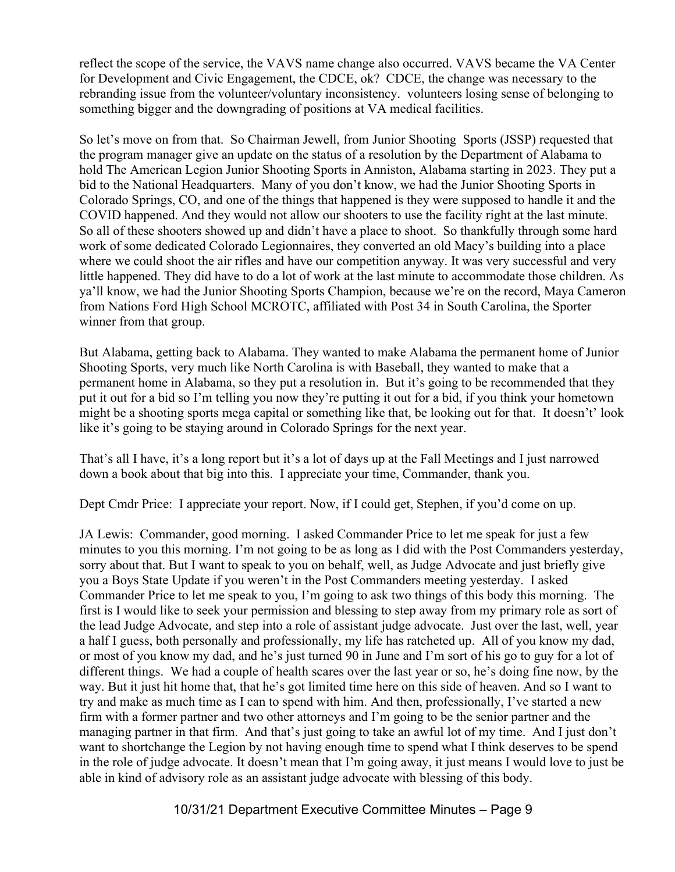reflect the scope of the service, the VAVS name change also occurred. VAVS became the VA Center for Development and Civic Engagement, the CDCE, ok? CDCE, the change was necessary to the rebranding issue from the volunteer/voluntary inconsistency. volunteers losing sense of belonging to something bigger and the downgrading of positions at VA medical facilities.

So let's move on from that. So Chairman Jewell, from Junior Shooting Sports (JSSP) requested that the program manager give an update on the status of a resolution by the Department of Alabama to hold The American Legion Junior Shooting Sports in Anniston, Alabama starting in 2023. They put a bid to the National Headquarters. Many of you don't know, we had the Junior Shooting Sports in Colorado Springs, CO, and one of the things that happened is they were supposed to handle it and the COVID happened. And they would not allow our shooters to use the facility right at the last minute. So all of these shooters showed up and didn't have a place to shoot. So thankfully through some hard work of some dedicated Colorado Legionnaires, they converted an old Macy's building into a place where we could shoot the air rifles and have our competition anyway. It was very successful and very little happened. They did have to do a lot of work at the last minute to accommodate those children. As ya'll know, we had the Junior Shooting Sports Champion, because we're on the record, Maya Cameron from Nations Ford High School MCROTC, affiliated with Post 34 in South Carolina, the Sporter winner from that group.

But Alabama, getting back to Alabama. They wanted to make Alabama the permanent home of Junior Shooting Sports, very much like North Carolina is with Baseball, they wanted to make that a permanent home in Alabama, so they put a resolution in. But it's going to be recommended that they put it out for a bid so I'm telling you now they're putting it out for a bid, if you think your hometown might be a shooting sports mega capital or something like that, be looking out for that. It doesn't' look like it's going to be staying around in Colorado Springs for the next year.

That's all I have, it's a long report but it's a lot of days up at the Fall Meetings and I just narrowed down a book about that big into this. I appreciate your time, Commander, thank you.

Dept Cmdr Price: I appreciate your report. Now, if I could get, Stephen, if you'd come on up.

JA Lewis: Commander, good morning. I asked Commander Price to let me speak for just a few minutes to you this morning. I'm not going to be as long as I did with the Post Commanders yesterday, sorry about that. But I want to speak to you on behalf, well, as Judge Advocate and just briefly give you a Boys State Update if you weren't in the Post Commanders meeting yesterday. I asked Commander Price to let me speak to you, I'm going to ask two things of this body this morning. The first is I would like to seek your permission and blessing to step away from my primary role as sort of the lead Judge Advocate, and step into a role of assistant judge advocate. Just over the last, well, year a half I guess, both personally and professionally, my life has ratcheted up. All of you know my dad, or most of you know my dad, and he's just turned 90 in June and I'm sort of his go to guy for a lot of different things. We had a couple of health scares over the last year or so, he's doing fine now, by the way. But it just hit home that, that he's got limited time here on this side of heaven. And so I want to try and make as much time as I can to spend with him. And then, professionally, I've started a new firm with a former partner and two other attorneys and I'm going to be the senior partner and the managing partner in that firm. And that's just going to take an awful lot of my time. And I just don't want to shortchange the Legion by not having enough time to spend what I think deserves to be spend in the role of judge advocate. It doesn't mean that I'm going away, it just means I would love to just be able in kind of advisory role as an assistant judge advocate with blessing of this body.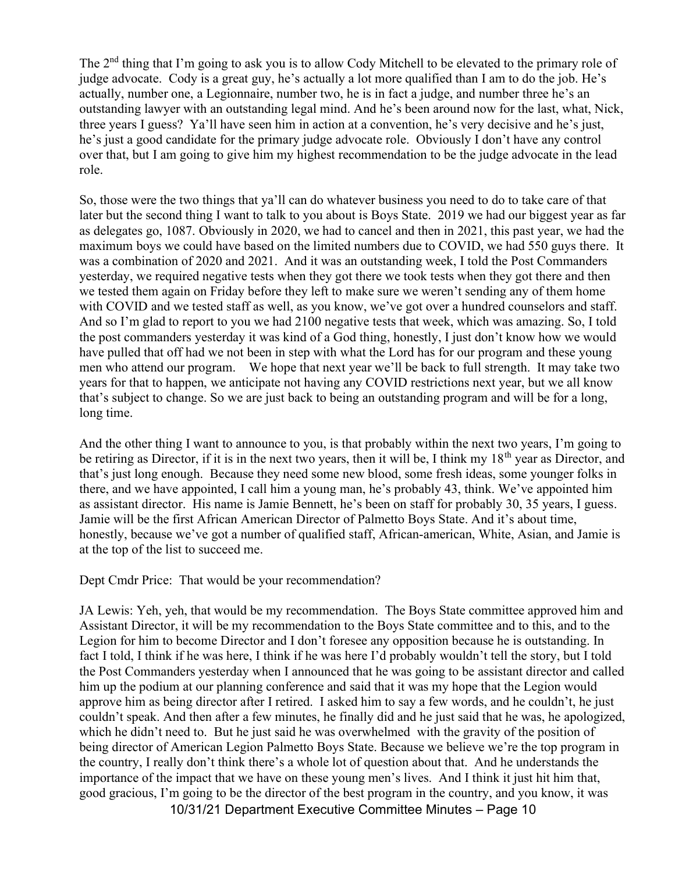The 2<sup>nd</sup> thing that I'm going to ask you is to allow Cody Mitchell to be elevated to the primary role of judge advocate. Cody is a great guy, he's actually a lot more qualified than I am to do the job. He's actually, number one, a Legionnaire, number two, he is in fact a judge, and number three he's an outstanding lawyer with an outstanding legal mind. And he's been around now for the last, what, Nick, three years I guess? Ya'll have seen him in action at a convention, he's very decisive and he's just, he's just a good candidate for the primary judge advocate role. Obviously I don't have any control over that, but I am going to give him my highest recommendation to be the judge advocate in the lead role.

So, those were the two things that ya'll can do whatever business you need to do to take care of that later but the second thing I want to talk to you about is Boys State. 2019 we had our biggest year as far as delegates go, 1087. Obviously in 2020, we had to cancel and then in 2021, this past year, we had the maximum boys we could have based on the limited numbers due to COVID, we had 550 guys there. It was a combination of 2020 and 2021. And it was an outstanding week, I told the Post Commanders yesterday, we required negative tests when they got there we took tests when they got there and then we tested them again on Friday before they left to make sure we weren't sending any of them home with COVID and we tested staff as well, as you know, we've got over a hundred counselors and staff. And so I'm glad to report to you we had 2100 negative tests that week, which was amazing. So, I told the post commanders yesterday it was kind of a God thing, honestly, I just don't know how we would have pulled that off had we not been in step with what the Lord has for our program and these young men who attend our program. We hope that next year we'll be back to full strength. It may take two years for that to happen, we anticipate not having any COVID restrictions next year, but we all know that's subject to change. So we are just back to being an outstanding program and will be for a long, long time.

And the other thing I want to announce to you, is that probably within the next two years, I'm going to be retiring as Director, if it is in the next two years, then it will be, I think my 18<sup>th</sup> year as Director, and that's just long enough. Because they need some new blood, some fresh ideas, some younger folks in there, and we have appointed, I call him a young man, he's probably 43, think. We've appointed him as assistant director. His name is Jamie Bennett, he's been on staff for probably 30, 35 years, I guess. Jamie will be the first African American Director of Palmetto Boys State. And it's about time, honestly, because we've got a number of qualified staff, African-american, White, Asian, and Jamie is at the top of the list to succeed me.

Dept Cmdr Price: That would be your recommendation?

JA Lewis: Yeh, yeh, that would be my recommendation. The Boys State committee approved him and Assistant Director, it will be my recommendation to the Boys State committee and to this, and to the Legion for him to become Director and I don't foresee any opposition because he is outstanding. In fact I told, I think if he was here, I think if he was here I'd probably wouldn't tell the story, but I told the Post Commanders yesterday when I announced that he was going to be assistant director and called him up the podium at our planning conference and said that it was my hope that the Legion would approve him as being director after I retired. I asked him to say a few words, and he couldn't, he just couldn't speak. And then after a few minutes, he finally did and he just said that he was, he apologized, which he didn't need to. But he just said he was overwhelmed with the gravity of the position of being director of American Legion Palmetto Boys State. Because we believe we're the top program in the country, I really don't think there's a whole lot of question about that. And he understands the importance of the impact that we have on these young men's lives. And I think it just hit him that, good gracious, I'm going to be the director of the best program in the country, and you know, it was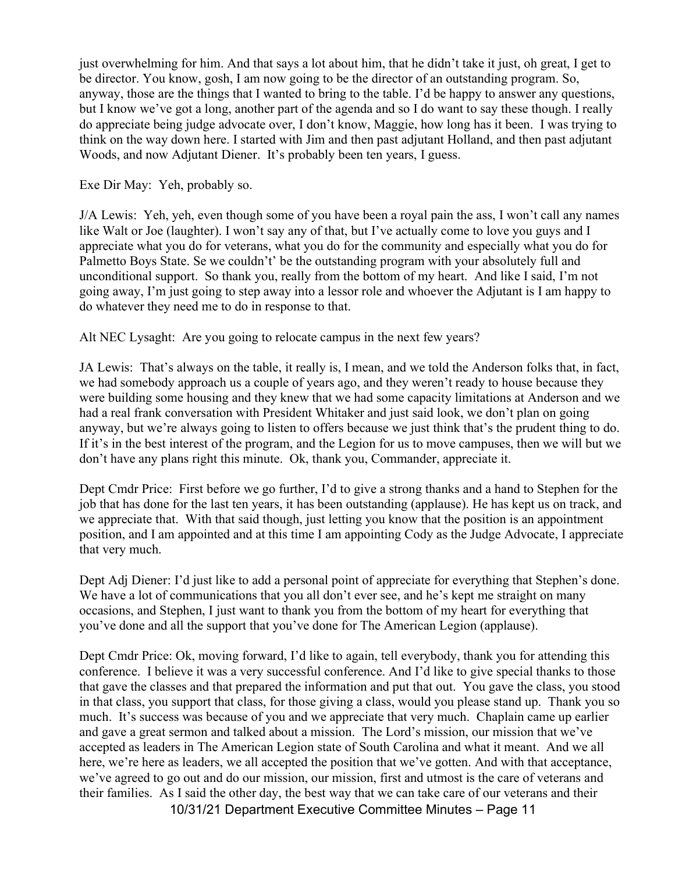just overwhelming for him. And that says a lot about him, that he didn't take it just, oh great, I get to be director. You know, gosh, I am now going to be the director of an outstanding program. So, anyway, those are the things that I wanted to bring to the table. I'd be happy to answer any questions, but I know we've got a long, another part of the agenda and so I do want to say these though. I really do appreciate being judge advocate over, I don't know, Maggie, how long has it been. I was trying to think on the way down here. I started with Jim and then past adjutant Holland, and then past adjutant Woods, and now Adjutant Diener. It's probably been ten years, I guess.

Exe Dir May: Yeh, probably so.

J/A Lewis: Yeh, yeh, even though some of you have been a royal pain the ass, I won't call any names like Walt or Joe (laughter). I won't say any of that, but I've actually come to love you guys and I appreciate what you do for veterans, what you do for the community and especially what you do for Palmetto Boys State. Se we couldn't' be the outstanding program with your absolutely full and unconditional support. So thank you, really from the bottom of my heart. And like I said, I'm not going away, I'm just going to step away into a lessor role and whoever the Adjutant is I am happy to do whatever they need me to do in response to that.

Alt NEC Lysaght: Are you going to relocate campus in the next few years?

JA Lewis: That's always on the table, it really is, I mean, and we told the Anderson folks that, in fact, we had somebody approach us a couple of years ago, and they weren't ready to house because they were building some housing and they knew that we had some capacity limitations at Anderson and we had a real frank conversation with President Whitaker and just said look, we don't plan on going anyway, but we're always going to listen to offers because we just think that's the prudent thing to do. If it's in the best interest of the program, and the Legion for us to move campuses, then we will but we don't have any plans right this minute. Ok, thank you, Commander, appreciate it.

Dept Cmdr Price: First before we go further, I'd to give a strong thanks and a hand to Stephen for the job that has done for the last ten years, it has been outstanding (applause). He has kept us on track, and we appreciate that. With that said though, just letting you know that the position is an appointment position, and I am appointed and at this time I am appointing Cody as the Judge Advocate, I appreciate that very much.

Dept Adj Diener: I'd just like to add a personal point of appreciate for everything that Stephen's done. We have a lot of communications that you all don't ever see, and he's kept me straight on many occasions, and Stephen, I just want to thank you from the bottom of my heart for everything that you've done and all the support that you've done for The American Legion (applause).

Dept Cmdr Price: Ok, moving forward, I'd like to again, tell everybody, thank you for attending this conference. I believe it was a very successful conference. And I'd like to give special thanks to those that gave the classes and that prepared the information and put that out. You gave the class, you stood in that class, you support that class, for those giving a class, would you please stand up. Thank you so much. It's success was because of you and we appreciate that very much. Chaplain came up earlier and gave a great sermon and talked about a mission. The Lord's mission, our mission that we've accepted as leaders in The American Legion state of South Carolina and what it meant. And we all here, we're here as leaders, we all accepted the position that we've gotten. And with that acceptance, we've agreed to go out and do our mission, our mission, first and utmost is the care of veterans and their families. As I said the other day, the best way that we can take care of our veterans and their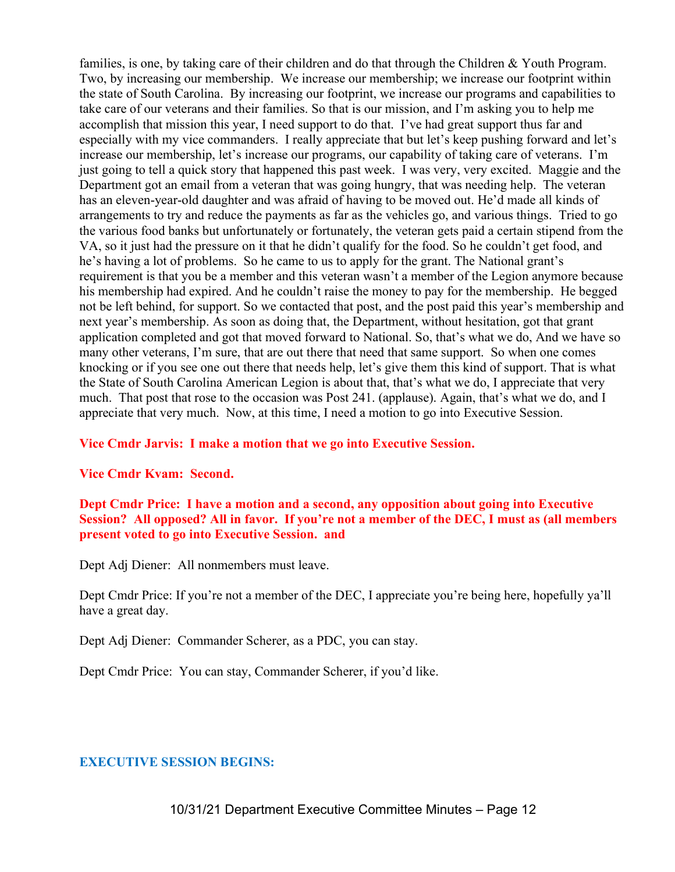families, is one, by taking care of their children and do that through the Children & Youth Program. Two, by increasing our membership. We increase our membership; we increase our footprint within the state of South Carolina. By increasing our footprint, we increase our programs and capabilities to take care of our veterans and their families. So that is our mission, and I'm asking you to help me accomplish that mission this year, I need support to do that. I've had great support thus far and especially with my vice commanders. I really appreciate that but let's keep pushing forward and let's increase our membership, let's increase our programs, our capability of taking care of veterans. I'm just going to tell a quick story that happened this past week. I was very, very excited. Maggie and the Department got an email from a veteran that was going hungry, that was needing help. The veteran has an eleven-year-old daughter and was afraid of having to be moved out. He'd made all kinds of arrangements to try and reduce the payments as far as the vehicles go, and various things. Tried to go the various food banks but unfortunately or fortunately, the veteran gets paid a certain stipend from the VA, so it just had the pressure on it that he didn't qualify for the food. So he couldn't get food, and he's having a lot of problems. So he came to us to apply for the grant. The National grant's requirement is that you be a member and this veteran wasn't a member of the Legion anymore because his membership had expired. And he couldn't raise the money to pay for the membership. He begged not be left behind, for support. So we contacted that post, and the post paid this year's membership and next year's membership. As soon as doing that, the Department, without hesitation, got that grant application completed and got that moved forward to National. So, that's what we do, And we have so many other veterans, I'm sure, that are out there that need that same support. So when one comes knocking or if you see one out there that needs help, let's give them this kind of support. That is what the State of South Carolina American Legion is about that, that's what we do, I appreciate that very much. That post that rose to the occasion was Post 241. (applause). Again, that's what we do, and I appreciate that very much. Now, at this time, I need a motion to go into Executive Session.

#### Vice Cmdr Jarvis: I make a motion that we go into Executive Session.

#### Vice Cmdr Kvam: Second.

## Dept Cmdr Price: I have a motion and a second, any opposition about going into Executive Session? All opposed? All in favor. If you're not a member of the DEC, I must as (all members present voted to go into Executive Session. and

Dept Adj Diener: All nonmembers must leave.

Dept Cmdr Price: If you're not a member of the DEC, I appreciate you're being here, hopefully ya'll have a great day.

Dept Adj Diener: Commander Scherer, as a PDC, you can stay.

Dept Cmdr Price: You can stay, Commander Scherer, if you'd like.

#### EXECUTIVE SESSION BEGINS: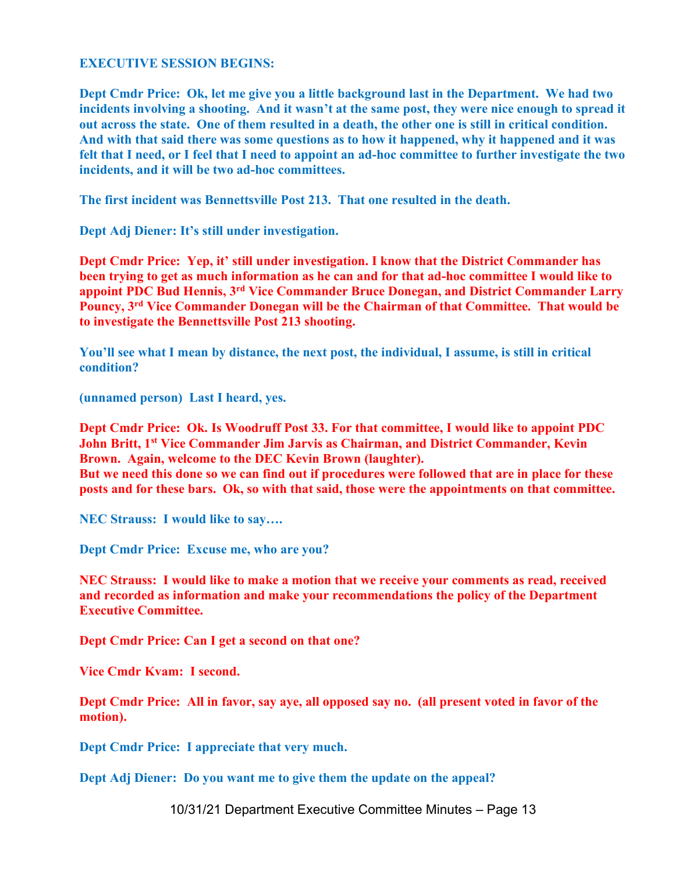#### EXECUTIVE SESSION BEGINS:

Dept Cmdr Price: Ok, let me give you a little background last in the Department. We had two incidents involving a shooting. And it wasn't at the same post, they were nice enough to spread it out across the state. One of them resulted in a death, the other one is still in critical condition. And with that said there was some questions as to how it happened, why it happened and it was felt that I need, or I feel that I need to appoint an ad-hoc committee to further investigate the two incidents, and it will be two ad-hoc committees.

The first incident was Bennettsville Post 213. That one resulted in the death.

Dept Adj Diener: It's still under investigation.

Dept Cmdr Price: Yep, it' still under investigation. I know that the District Commander has been trying to get as much information as he can and for that ad-hoc committee I would like to appoint PDC Bud Hennis, 3rd Vice Commander Bruce Donegan, and District Commander Larry Pouncy, 3rd Vice Commander Donegan will be the Chairman of that Committee. That would be to investigate the Bennettsville Post 213 shooting.

You'll see what I mean by distance, the next post, the individual, I assume, is still in critical condition?

(unnamed person) Last I heard, yes.

Dept Cmdr Price: Ok. Is Woodruff Post 33. For that committee, I would like to appoint PDC John Britt, 1<sup>st</sup> Vice Commander Jim Jarvis as Chairman, and District Commander, Kevin Brown. Again, welcome to the DEC Kevin Brown (laughter).

But we need this done so we can find out if procedures were followed that are in place for these posts and for these bars. Ok, so with that said, those were the appointments on that committee.

NEC Strauss: I would like to say….

Dept Cmdr Price: Excuse me, who are you?

NEC Strauss: I would like to make a motion that we receive your comments as read, received and recorded as information and make your recommendations the policy of the Department Executive Committee.

Dept Cmdr Price: Can I get a second on that one?

Vice Cmdr Kvam: I second.

Dept Cmdr Price: All in favor, say aye, all opposed say no. (all present voted in favor of the motion).

Dept Cmdr Price: I appreciate that very much.

Dept Adj Diener: Do you want me to give them the update on the appeal?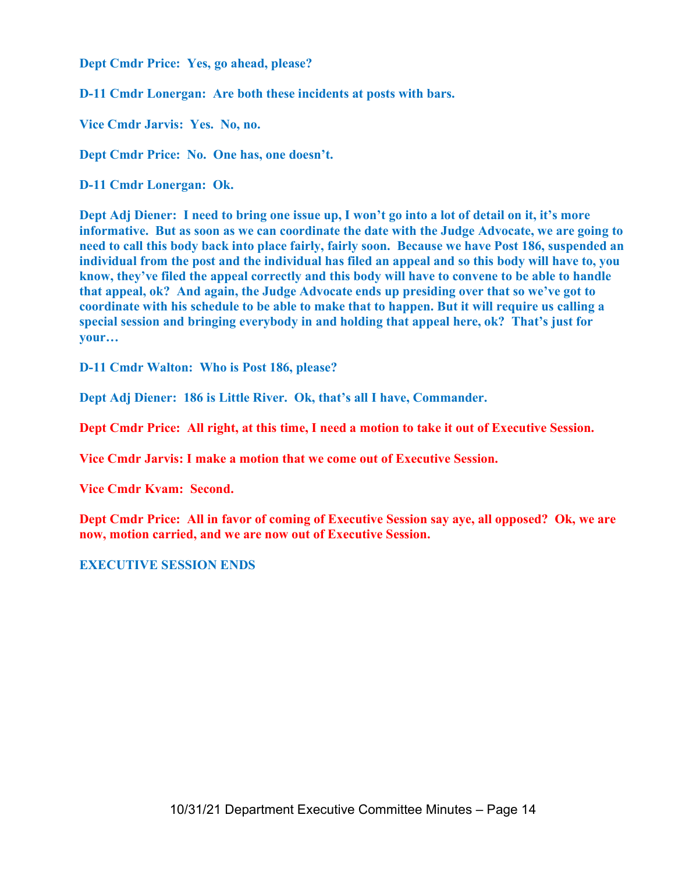Dept Cmdr Price: Yes, go ahead, please?

D-11 Cmdr Lonergan: Are both these incidents at posts with bars.

Vice Cmdr Jarvis: Yes. No, no.

Dept Cmdr Price: No. One has, one doesn't.

D-11 Cmdr Lonergan: Ok.

Dept Adj Diener: I need to bring one issue up, I won't go into a lot of detail on it, it's more informative. But as soon as we can coordinate the date with the Judge Advocate, we are going to need to call this body back into place fairly, fairly soon. Because we have Post 186, suspended an individual from the post and the individual has filed an appeal and so this body will have to, you know, they've filed the appeal correctly and this body will have to convene to be able to handle that appeal, ok? And again, the Judge Advocate ends up presiding over that so we've got to coordinate with his schedule to be able to make that to happen. But it will require us calling a special session and bringing everybody in and holding that appeal here, ok? That's just for your…

D-11 Cmdr Walton: Who is Post 186, please?

Dept Adj Diener: 186 is Little River. Ok, that's all I have, Commander.

Dept Cmdr Price: All right, at this time, I need a motion to take it out of Executive Session.

Vice Cmdr Jarvis: I make a motion that we come out of Executive Session.

Vice Cmdr Kvam: Second.

Dept Cmdr Price: All in favor of coming of Executive Session say aye, all opposed? Ok, we are now, motion carried, and we are now out of Executive Session.

#### EXECUTIVE SESSION ENDS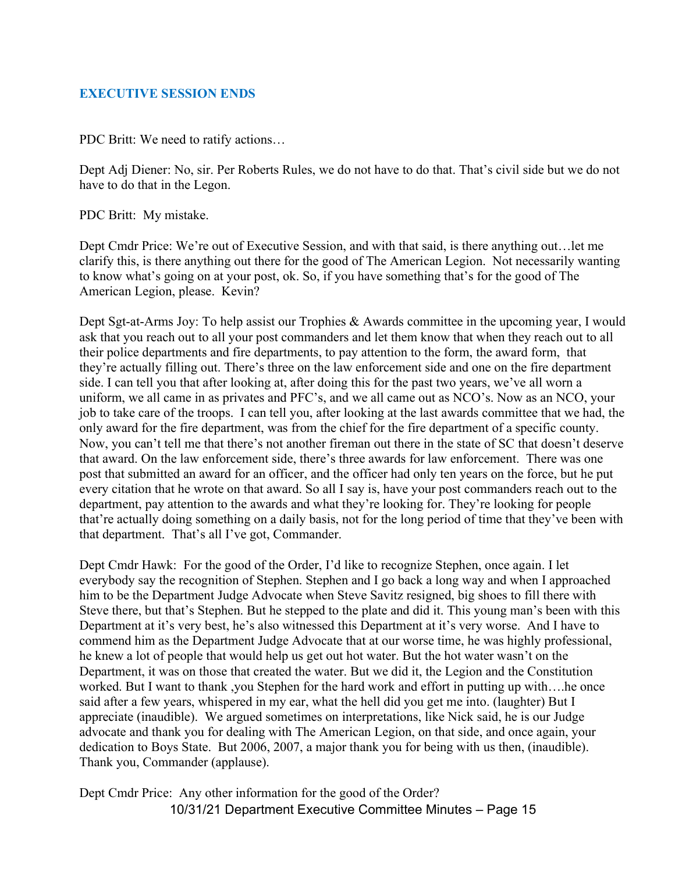# EXECUTIVE SESSION ENDS

PDC Britt: We need to ratify actions…

Dept Adj Diener: No, sir. Per Roberts Rules, we do not have to do that. That's civil side but we do not have to do that in the Legon.

PDC Britt: My mistake.

Dept Cmdr Price: We're out of Executive Session, and with that said, is there anything out…let me clarify this, is there anything out there for the good of The American Legion. Not necessarily wanting to know what's going on at your post, ok. So, if you have something that's for the good of The American Legion, please. Kevin?

Dept Sgt-at-Arms Joy: To help assist our Trophies & Awards committee in the upcoming year, I would ask that you reach out to all your post commanders and let them know that when they reach out to all their police departments and fire departments, to pay attention to the form, the award form, that they're actually filling out. There's three on the law enforcement side and one on the fire department side. I can tell you that after looking at, after doing this for the past two years, we've all worn a uniform, we all came in as privates and PFC's, and we all came out as NCO's. Now as an NCO, your job to take care of the troops. I can tell you, after looking at the last awards committee that we had, the only award for the fire department, was from the chief for the fire department of a specific county. Now, you can't tell me that there's not another fireman out there in the state of SC that doesn't deserve that award. On the law enforcement side, there's three awards for law enforcement. There was one post that submitted an award for an officer, and the officer had only ten years on the force, but he put every citation that he wrote on that award. So all I say is, have your post commanders reach out to the department, pay attention to the awards and what they're looking for. They're looking for people that're actually doing something on a daily basis, not for the long period of time that they've been with that department. That's all I've got, Commander.

Dept Cmdr Hawk: For the good of the Order, I'd like to recognize Stephen, once again. I let everybody say the recognition of Stephen. Stephen and I go back a long way and when I approached him to be the Department Judge Advocate when Steve Savitz resigned, big shoes to fill there with Steve there, but that's Stephen. But he stepped to the plate and did it. This young man's been with this Department at it's very best, he's also witnessed this Department at it's very worse. And I have to commend him as the Department Judge Advocate that at our worse time, he was highly professional, he knew a lot of people that would help us get out hot water. But the hot water wasn't on the Department, it was on those that created the water. But we did it, the Legion and the Constitution worked. But I want to thank ,you Stephen for the hard work and effort in putting up with….he once said after a few years, whispered in my ear, what the hell did you get me into. (laughter) But I appreciate (inaudible). We argued sometimes on interpretations, like Nick said, he is our Judge advocate and thank you for dealing with The American Legion, on that side, and once again, your dedication to Boys State. But 2006, 2007, a major thank you for being with us then, (inaudible). Thank you, Commander (applause).

10/31/21 Department Executive Committee Minutes – Page 15 Dept Cmdr Price: Any other information for the good of the Order?